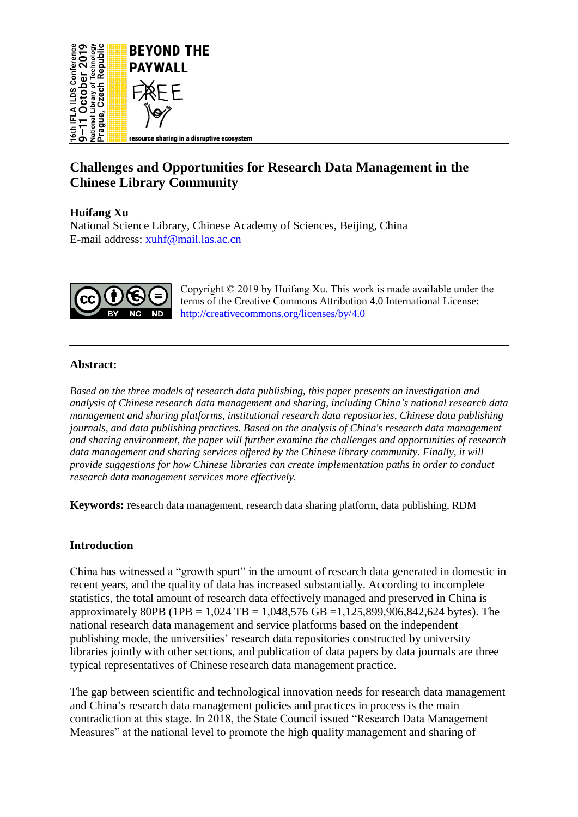

# **Challenges and Opportunities for Research Data Management in the Chinese Library Community**

# **Huifang Xu**

National Science Library, Chinese Academy of Sciences, Beijing, China E-mail address: [xuhf@mail.las.ac.cn](mailto:xuhf@mail.las.ac.cn)



Copyright © 2019 by Huifang Xu. This work is made available under the terms of the Creative Commons Attribution 4.0 International License: <http://creativecommons.org/licenses/by/4.0>

### **Abstract:**

*Based on the three models of research data publishing, this paper presents an investigation and analysis of Chinese research data management and sharing, including China's national research data management and sharing platforms, institutional research data repositories, Chinese data publishing journals, and data publishing practices. Based on the analysis of China's research data management and sharing environment, the paper will further examine the challenges and opportunities of research data management and sharing services offered by the Chinese library community. Finally, it will provide suggestions for how Chinese libraries can create implementation paths in order to conduct research data management services more effectively.*

**Keywords:** research data management, research data sharing platform, data publishing, RDM

### **Introduction**

China has witnessed a "growth spurt" in the amount of research data generated in domestic in recent years, and the quality of data has increased substantially. According to incomplete statistics, the total amount of research data effectively managed and preserved in China is approximately 80PB (1PB = 1,024 TB = 1,048,576 GB = 1,125,899,906,842,624 bytes). The national research data management and service platforms based on the independent publishing mode, the universities' research data repositories constructed by university libraries jointly with other sections, and publication of data papers by data journals are three typical representatives of Chinese research data management practice.

The gap between scientific and technological innovation needs for research data management and China's research data management policies and practices in process is the main contradiction at this stage. In 2018, the State Council issued "Research Data Management Measures" at the national level to promote the high quality management and sharing of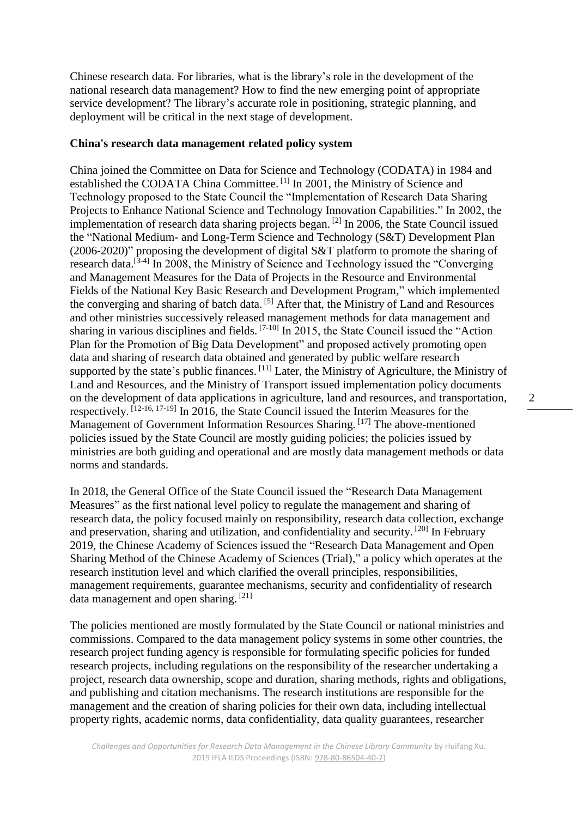Chinese research data. For libraries, what is the library's role in the development of the national research data management? How to find the new emerging point of appropriate service development? The library's accurate role in positioning, strategic planning, and deployment will be critical in the next stage of development.

#### **China's research data management related policy system**

China joined the Committee on Data for Science and Technology (CODATA) in 1984 and established the CODATA China Committee.<sup>[1]</sup> In 2001, the Ministry of Science and Technology proposed to the State Council the "Implementation of Research Data Sharing Projects to Enhance National Science and Technology Innovation Capabilities." In 2002, the implementation of research data sharing projects began. <sup>[2]</sup> In 2006, the State Council issued the "National Medium- and Long-Term Science and Technology (S&T) Development Plan (2006-2020)" proposing the development of digital S&T platform to promote the sharing of research data.<sup>[3-4]</sup> In 2008, the Ministry of Science and Technology issued the "Converging and Management Measures for the Data of Projects in the Resource and Environmental Fields of the National Key Basic Research and Development Program," which implemented the converging and sharing of batch data. [5] After that, the Ministry of Land and Resources and other ministries successively released management methods for data management and sharing in various disciplines and fields.  $[7-10]$  In 2015, the State Council issued the "Action" Plan for the Promotion of Big Data Development" and proposed actively promoting open data and sharing of research data obtained and generated by public welfare research supported by the state's public finances.  $[11]$  Later, the Ministry of Agriculture, the Ministry of Land and Resources, and the Ministry of Transport issued implementation policy documents on the development of data applications in agriculture, land and resources, and transportation, respectively. [12-16, 17-19] In 2016, the State Council issued the Interim Measures for the Management of Government Information Resources Sharing. [17] The above-mentioned policies issued by the State Council are mostly guiding policies; the policies issued by ministries are both guiding and operational and are mostly data management methods or data norms and standards.

In 2018, the General Office of the State Council issued the "Research Data Management Measures" as the first national level policy to regulate the management and sharing of research data, the policy focused mainly on responsibility, research data collection, exchange and preservation, sharing and utilization, and confidentiality and security.<sup>[20]</sup> In February 2019, the Chinese Academy of Sciences issued the "Research Data Management and Open Sharing Method of the Chinese Academy of Sciences (Trial)," a policy which operates at the research institution level and which clarified the overall principles, responsibilities, management requirements, guarantee mechanisms, security and confidentiality of research data management and open sharing. [21]

The policies mentioned are mostly formulated by the State Council or national ministries and commissions. Compared to the data management policy systems in some other countries, the research project funding agency is responsible for formulating specific policies for funded research projects, including regulations on the responsibility of the researcher undertaking a project, research data ownership, scope and duration, sharing methods, rights and obligations, and publishing and citation mechanisms. The research institutions are responsible for the management and the creation of sharing policies for their own data, including intellectual property rights, academic norms, data confidentiality, data quality guarantees, researcher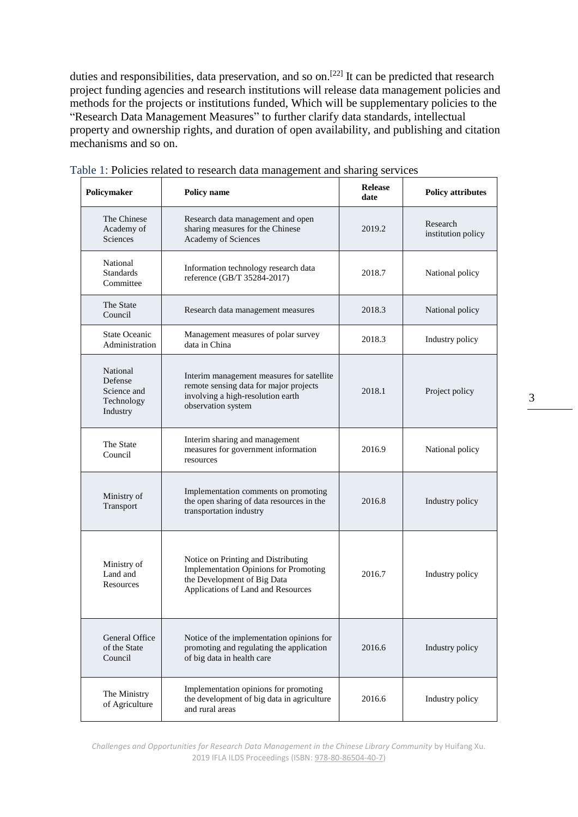duties and responsibilities, data preservation, and so on.<sup>[22]</sup> It can be predicted that research project funding agencies and research institutions will release data management policies and methods for the projects or institutions funded, Which will be supplementary policies to the "Research Data Management Measures" to further clarify data standards, intellectual property and ownership rights, and duration of open availability, and publishing and citation mechanisms and so on.

| Policymaker                                                  | Policy name                                                                                                                                       | <b>Release</b><br>date | <b>Policy attributes</b>       |
|--------------------------------------------------------------|---------------------------------------------------------------------------------------------------------------------------------------------------|------------------------|--------------------------------|
| The Chinese<br>Academy of<br>Sciences                        | Research data management and open<br>sharing measures for the Chinese<br>Academy of Sciences                                                      | 2019.2                 | Research<br>institution policy |
| National<br><b>Standards</b><br>Committee                    | Information technology research data<br>reference (GB/T 35284-2017)                                                                               | 2018.7                 | National policy                |
| The State<br>Council                                         | Research data management measures                                                                                                                 | 2018.3                 | National policy                |
| <b>State Oceanic</b><br>Administration                       | Management measures of polar survey<br>data in China                                                                                              | 2018.3                 | Industry policy                |
| National<br>Defense<br>Science and<br>Technology<br>Industry | Interim management measures for satellite<br>remote sensing data for major projects<br>involving a high-resolution earth<br>observation system    | 2018.1                 | Project policy                 |
| The State<br>Council                                         | Interim sharing and management<br>measures for government information<br>resources                                                                | 2016.9                 | National policy                |
| Ministry of<br>Transport                                     | Implementation comments on promoting<br>the open sharing of data resources in the<br>transportation industry                                      | 2016.8                 | Industry policy                |
| Ministry of<br>Land and<br>Resources                         | Notice on Printing and Distributing<br>Implementation Opinions for Promoting<br>the Development of Big Data<br>Applications of Land and Resources | 2016.7                 | Industry policy                |
| General Office<br>of the State<br>Council                    | Notice of the implementation opinions for<br>promoting and regulating the application<br>of big data in health care                               | 2016.6                 | Industry policy                |
| The Ministry<br>of Agriculture                               | Implementation opinions for promoting<br>the development of big data in agriculture<br>and rural areas                                            | 2016.6                 | Industry policy                |

|  | Table 1: Policies related to research data management and sharing services |
|--|----------------------------------------------------------------------------|

*Challenges and Opportunities for Research Data Management in the Chinese Library Community* by Huifang Xu. 2019 IFLA ILDS Proceedings (ISBN[: 978-80-86504-40-7\)](https://www.techlib.cz/en/84026)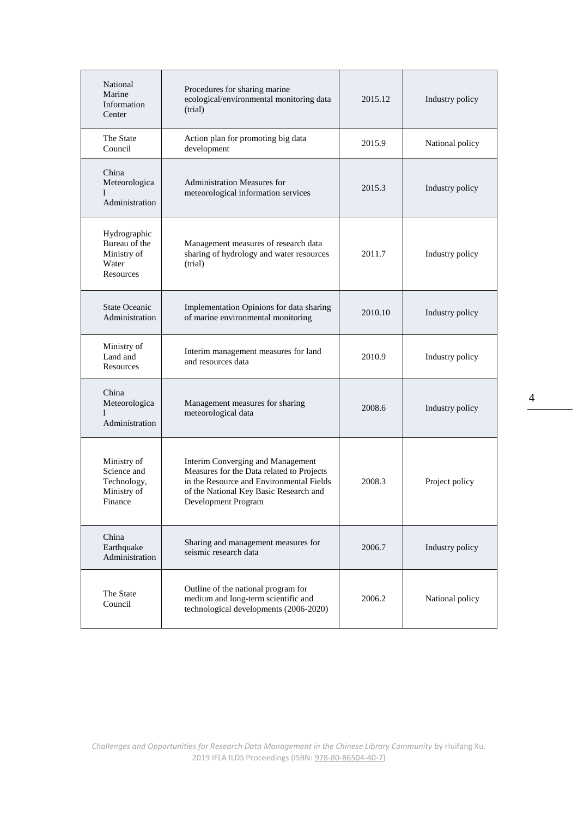| National<br>Marine<br>Information<br>Center                                                                                                  | Procedures for sharing marine<br>ecological/environmental monitoring data<br>(trial)                                                                                                                                                                                                                                         | 2015.12 | Industry policy |  |
|----------------------------------------------------------------------------------------------------------------------------------------------|------------------------------------------------------------------------------------------------------------------------------------------------------------------------------------------------------------------------------------------------------------------------------------------------------------------------------|---------|-----------------|--|
| The State<br>Council                                                                                                                         | Action plan for promoting big data<br>development                                                                                                                                                                                                                                                                            | 2015.9  | National policy |  |
| China<br>Meteorologica<br>1<br>Administration                                                                                                | <b>Administration Measures for</b><br>meteorological information services                                                                                                                                                                                                                                                    | 2015.3  | Industry policy |  |
| Hydrographic<br>Bureau of the<br>Ministry of<br>Water<br>Resources                                                                           | Management measures of research data<br>sharing of hydrology and water resources<br>(trial)                                                                                                                                                                                                                                  | 2011.7  |                 |  |
| <b>State Oceanic</b><br>Administration                                                                                                       | Implementation Opinions for data sharing<br>of marine environmental monitoring                                                                                                                                                                                                                                               |         | Industry policy |  |
| Ministry of<br>Land and<br>Resources                                                                                                         | Interim management measures for land<br>and resources data                                                                                                                                                                                                                                                                   | 2010.9  | Industry policy |  |
| China<br>Meteorologica<br>1<br>Administration                                                                                                | Management measures for sharing<br>meteorological data<br>Interim Converging and Management<br>Ministry of<br>Measures for the Data related to Projects<br>Science and<br>Technology,<br>in the Resource and Environmental Fields<br>Ministry of<br>of the National Key Basic Research and<br>Finance<br>Development Program |         | Industry policy |  |
|                                                                                                                                              |                                                                                                                                                                                                                                                                                                                              |         | Project policy  |  |
| China<br>Earthquake<br>Administration                                                                                                        | Sharing and management measures for<br>seismic research data                                                                                                                                                                                                                                                                 | 2006.7  | Industry policy |  |
| Outline of the national program for<br>The State<br>medium and long-term scientific and<br>Council<br>technological developments (2006-2020) |                                                                                                                                                                                                                                                                                                                              | 2006.2  | National policy |  |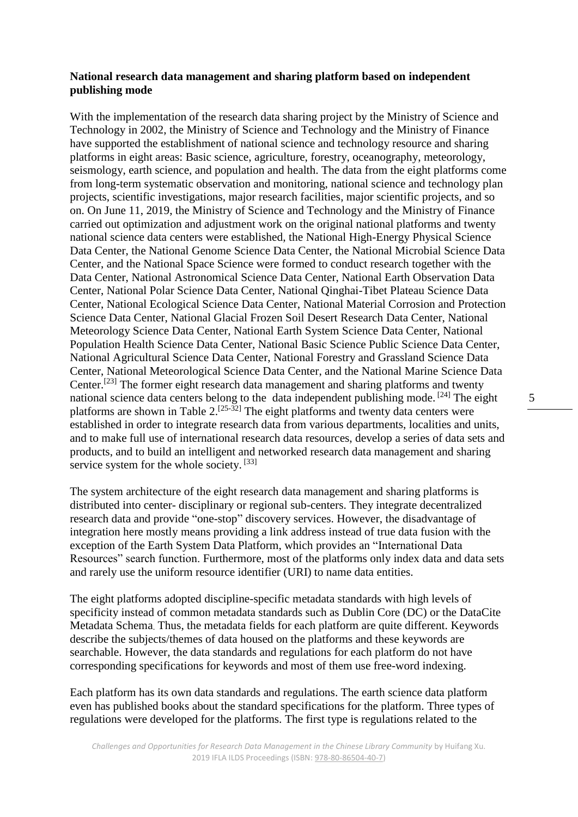#### **National research data management and sharing platform based on independent publishing mode**

With the implementation of the research data sharing project by the Ministry of Science and Technology in 2002, the Ministry of Science and Technology and the Ministry of Finance have supported the establishment of national science and technology resource and sharing platforms in eight areas: Basic science, agriculture, forestry, oceanography, meteorology, seismology, earth science, and population and health. The data from the eight platforms come from long-term systematic observation and monitoring, national science and technology plan projects, scientific investigations, major research facilities, major scientific projects, and so on. On June 11, 2019, the Ministry of Science and Technology and the Ministry of Finance carried out optimization and adjustment work on the original national platforms and twenty national science data centers were established, the National High-Energy Physical Science Data Center, the National Genome Science Data Center, the National Microbial Science Data Center, and the National Space Science were formed to conduct research together with the Data Center, National Astronomical Science Data Center, National Earth Observation Data Center, National Polar Science Data Center, National Qinghai-Tibet Plateau Science Data Center, National Ecological Science Data Center, National Material Corrosion and Protection Science Data Center, National Glacial Frozen Soil Desert Research Data Center, National Meteorology Science Data Center, National Earth System Science Data Center, National Population Health Science Data Center, National Basic Science Public Science Data Center, National Agricultural Science Data Center, National Forestry and Grassland Science Data Center, National Meteorological Science Data Center, and the National Marine Science Data Center.<sup>[23]</sup> The former eight research data management and sharing platforms and twenty national science data centers belong to the data independent publishing mode.  $[24]$  The eight platforms are shown in Table  $2$ .<sup>[25-32]</sup> The eight platforms and twenty data centers were established in order to integrate research data from various departments, localities and units, and to make full use of international research data resources, develop a series of data sets and products, and to build an intelligent and networked research data management and sharing service system for the whole society.<sup>[33]</sup>

The system architecture of the eight research data management and sharing platforms is distributed into center- disciplinary or regional sub-centers. They integrate decentralized research data and provide "one-stop" discovery services. However, the disadvantage of integration here mostly means providing a link address instead of true data fusion with the exception of the Earth System Data Platform, which provides an "International Data Resources" search function. Furthermore, most of the platforms only index data and data sets and rarely use the uniform resource identifier (URI) to name data entities.

The eight platforms adopted discipline-specific metadata standards with high levels of specificity instead of common metadata standards such as Dublin Core (DC) or the DataCite Metadata Schema. Thus, the metadata fields for each platform are quite different. Keywords describe the subjects/themes of data housed on the platforms and these keywords are searchable. However, the data standards and regulations for each platform do not have corresponding specifications for keywords and most of them use free-word indexing.

Each platform has its own data standards and regulations. The earth science data platform even has published books about the standard specifications for the platform. Three types of regulations were developed for the platforms. The first type is regulations related to the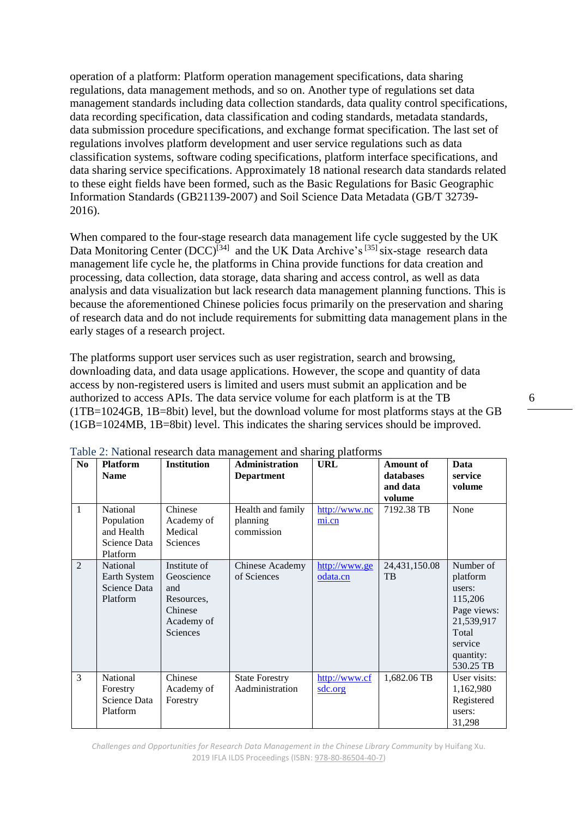operation of a platform: Platform operation management specifications, data sharing regulations, data management methods, and so on. Another type of regulations set data management standards including data collection standards, data quality control specifications, data recording specification, data classification and coding standards, metadata standards, data submission procedure specifications, and exchange format specification. The last set of regulations involves platform development and user service regulations such as data classification systems, software coding specifications, platform interface specifications, and data sharing service specifications. Approximately 18 national research data standards related to these eight fields have been formed, such as the Basic Regulations for Basic Geographic Information Standards (GB21139-2007) and Soil Science Data Metadata (GB/T 32739- 2016).

When compared to the four-stage research data management life cycle suggested by the UK Data Monitoring Center  $(DCC)^{[34]}$  and the UK Data Archive's  $^{[35]}$  six-stage research data management life cycle he, the platforms in China provide functions for data creation and processing, data collection, data storage, data sharing and access control, as well as data analysis and data visualization but lack research data management planning functions. This is because the aforementioned Chinese policies focus primarily on the preservation and sharing of research data and do not include requirements for submitting data management plans in the early stages of a research project.

The platforms support user services such as user registration, search and browsing, downloading data, and data usage applications. However, the scope and quantity of data access by non-registered users is limited and users must submit an application and be authorized to access APIs. The data service volume for each platform is at the TB (1TB=1024GB, 1B=8bit) level, but the download volume for most platforms stays at the GB (1GB=1024MB, 1B=8bit) level. This indicates the sharing services should be improved.

| N <sub>0</sub> | <b>Platform</b><br><b>Name</b>                                   | <b>Institution</b>                                                                   | <b>Administration</b><br><b>Department</b>  | <u>ັ</u><br><b>URL</b>             | <b>Amount of</b><br>databases<br>and data | Data<br>service<br>volume                                                                                             |
|----------------|------------------------------------------------------------------|--------------------------------------------------------------------------------------|---------------------------------------------|------------------------------------|-------------------------------------------|-----------------------------------------------------------------------------------------------------------------------|
| $\mathbf{1}$   | National<br>Population<br>and Health<br>Science Data<br>Platform | Chinese<br>Academy of<br>Medical<br>Sciences                                         | Health and family<br>planning<br>commission | http://www.nc<br>$\frac{mi.cn}{m}$ | volume<br>7192.38 TB                      | None                                                                                                                  |
| $\overline{2}$ | National<br>Earth System<br>Science Data<br>Platform             | Institute of<br>Geoscience<br>and<br>Resources,<br>Chinese<br>Academy of<br>Sciences | Chinese Academy<br>of Sciences              | http://www.ge<br>odata.cn          | 24,431,150.08<br>TB                       | Number of<br>platform<br>users:<br>115,206<br>Page views:<br>21,539,917<br>Total<br>service<br>quantity:<br>530.25 TB |
| 3              | National<br>Forestry<br>Science Data<br>Platform                 | Chinese<br>Academy of<br>Forestry                                                    | <b>State Forestry</b><br>Aadministration    | http://www.cf<br>sdc.org           | 1,682.06 TB                               | User visits:<br>1,162,980<br>Registered<br>users:<br>31,298                                                           |

Table 2: National research data management and sharing platforms

*Challenges and Opportunities for Research Data Management in the Chinese Library Community* by Huifang Xu. 2019 IFLA ILDS Proceedings (ISBN[: 978-80-86504-40-7\)](https://www.techlib.cz/en/84026)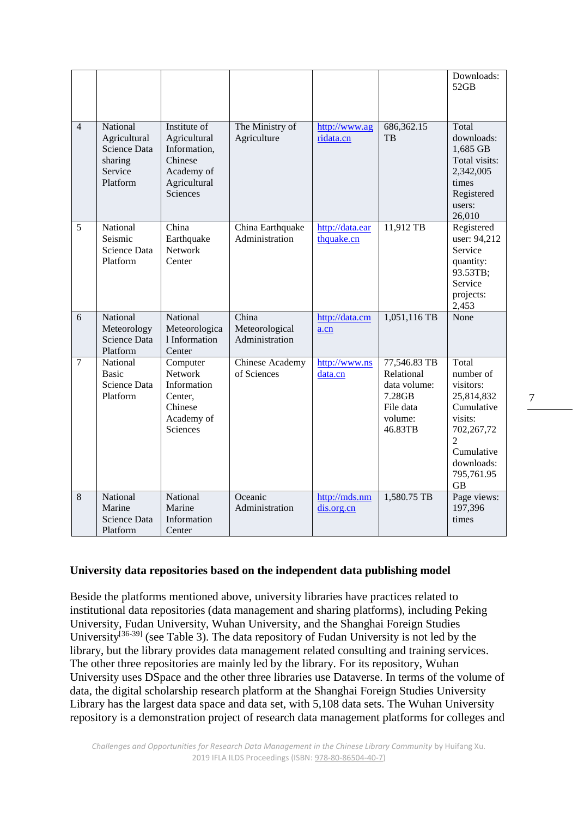|                |                                                                            |                                                                                                   |                                           |                               |                                                                                         | Downloads:<br>52GB                                                                                                                                            |
|----------------|----------------------------------------------------------------------------|---------------------------------------------------------------------------------------------------|-------------------------------------------|-------------------------------|-----------------------------------------------------------------------------------------|---------------------------------------------------------------------------------------------------------------------------------------------------------------|
| $\overline{4}$ | National<br>Agricultural<br>Science Data<br>sharing<br>Service<br>Platform | Institute of<br>Agricultural<br>Information,<br>Chinese<br>Academy of<br>Agricultural<br>Sciences | The Ministry of<br>Agriculture            | http://www.ag<br>ridata.cn    | 686, 362. 15<br>TB                                                                      | Total<br>downloads:<br>1,685 GB<br>Total visits:<br>2,342,005<br>times<br>Registered<br>users:<br>26,010                                                      |
| 5              | National<br>Seismic<br>Science Data<br>Platform                            | China<br>Earthquake<br>Network<br>Center                                                          | China Earthquake<br>Administration        | http://data.ear<br>thquake.cn | 11,912 TB                                                                               | Registered<br>user: 94,212<br>Service<br>quantity:<br>93.53TB;<br>Service<br>projects:<br>2,453                                                               |
| 6              | National<br>Meteorology<br>Science Data<br>Platform                        | National<br>Meteorologica<br>1 Information<br>Center                                              | China<br>Meteorological<br>Administration | http://data.cm<br>a.cn        | 1,051,116 TB                                                                            | None                                                                                                                                                          |
| $\overline{7}$ | National<br><b>Basic</b><br>Science Data<br>Platform                       | Computer<br>Network<br>Information<br>Center,<br>Chinese<br>Academy of<br><b>Sciences</b>         | Chinese Academy<br>of Sciences            | http://www.ns<br>data.cn      | 77,546.83 TB<br>Relational<br>data volume:<br>7.28GB<br>File data<br>volume:<br>46.83TB | Total<br>number of<br>visitors:<br>25,814,832<br>Cumulative<br>visits:<br>702,267,72<br>$\overline{2}$<br>Cumulative<br>downloads:<br>795,761.95<br><b>GB</b> |
| 8              | National<br>Marine<br>Science Data<br>Platform                             | National<br>Marine<br>Information<br>Center                                                       | Oceanic<br>Administration                 | http://mds.nm<br>dis.org.cn   | 1,580.75 TB                                                                             | Page views:<br>197,396<br>times                                                                                                                               |

#### **University data repositories based on the independent data publishing model**

Beside the platforms mentioned above, university libraries have practices related to institutional data repositories (data management and sharing platforms), including Peking University, Fudan University, Wuhan University, and the Shanghai Foreign Studies University<sup>[36-39]</sup> (see Table 3). The data repository of Fudan University is not led by the library, but the library provides data management related consulting and training services. The other three repositories are mainly led by the library. For its repository, Wuhan University uses DSpace and the other three libraries use Dataverse. In terms of the volume of data, the digital scholarship research platform at the Shanghai Foreign Studies University Library has the largest data space and data set, with 5,108 data sets. The Wuhan University repository is a demonstration project of research data management platforms for colleges and 7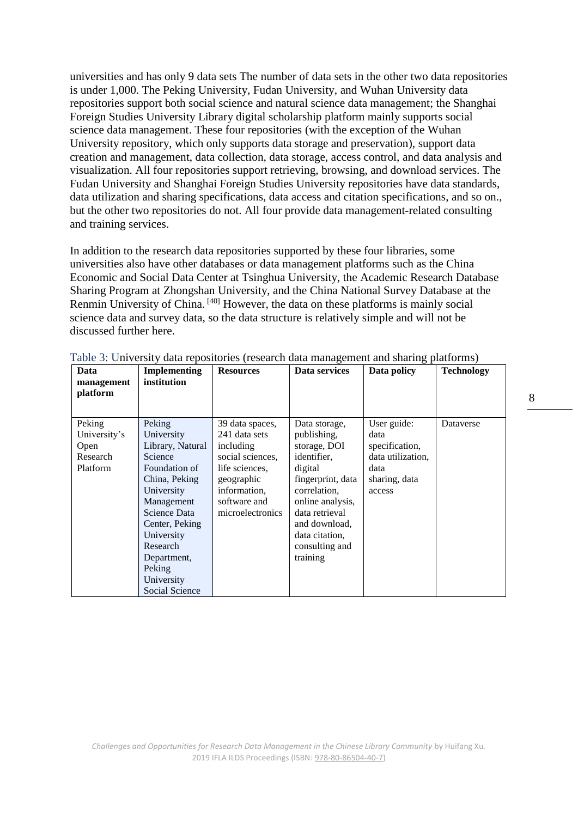universities and has only 9 data sets The number of data sets in the other two data repositories is under 1,000. The Peking University, Fudan University, and Wuhan University data repositories support both social science and natural science data management; the Shanghai Foreign Studies University Library digital scholarship platform mainly supports social science data management. These four repositories (with the exception of the Wuhan University repository, which only supports data storage and preservation), support data creation and management, data collection, data storage, access control, and data analysis and visualization. All four repositories support retrieving, browsing, and download services. The Fudan University and Shanghai Foreign Studies University repositories have data standards, data utilization and sharing specifications, data access and citation specifications, and so on., but the other two repositories do not. All four provide data management-related consulting and training services.

In addition to the research data repositories supported by these four libraries, some universities also have other databases or data management platforms such as the China Economic and Social Data Center at Tsinghua University, the Academic Research Database Sharing Program at Zhongshan University, and the China National Survey Database at the Renmin University of China.<sup>[40]</sup> However, the data on these platforms is mainly social science data and survey data, so the data structure is relatively simple and will not be discussed further here.

| Data                   | <b>Implementing</b> | <b>Resources</b> | Data services     | Data policy       | <b>Technology</b> |
|------------------------|---------------------|------------------|-------------------|-------------------|-------------------|
| management<br>platform | institution         |                  |                   |                   |                   |
|                        |                     |                  |                   |                   |                   |
| Peking                 | Peking              | 39 data spaces,  | Data storage,     | User guide:       | Dataverse         |
| University's           | University          | 241 data sets    | publishing,       | data              |                   |
| Open                   | Library, Natural    | including        | storage, DOI      | specification,    |                   |
| Research               | Science             | social sciences. | identifier.       | data utilization, |                   |
| Platform               | Foundation of       | life sciences.   | digital           | data              |                   |
|                        | China, Peking       | geographic       | fingerprint, data | sharing, data     |                   |
|                        | University          | information,     | correlation,      | access            |                   |
|                        | Management          | software and     | online analysis,  |                   |                   |
|                        | Science Data        | microelectronics | data retrieval    |                   |                   |
|                        | Center, Peking      |                  | and download,     |                   |                   |
|                        | University          |                  | data citation,    |                   |                   |
|                        | Research            |                  | consulting and    |                   |                   |
|                        | Department,         |                  | training          |                   |                   |
|                        | Peking              |                  |                   |                   |                   |
|                        | University          |                  |                   |                   |                   |
|                        | Social Science      |                  |                   |                   |                   |

Table 3: University data repositories (research data management and sharing platforms)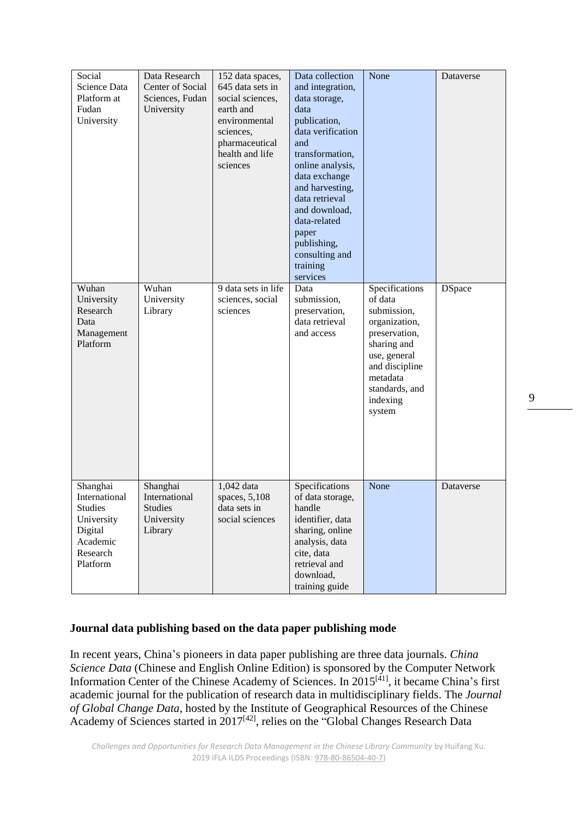| Social<br>Science Data<br>Platform at<br>Fudan<br>University<br>Wuhan                                    | Data Research<br>Center of Social<br>Sciences, Fudan<br>University<br>Wuhan | 152 data spaces,<br>645 data sets in<br>social sciences.<br>earth and<br>environmental<br>sciences,<br>pharmaceutical<br>health and life<br>sciences<br>9 data sets in life | Data collection<br>and integration,<br>data storage,<br>data<br>publication,<br>data verification<br>and<br>transformation,<br>online analysis,<br>data exchange<br>and harvesting,<br>data retrieval<br>and download,<br>data-related<br>paper<br>publishing,<br>consulting and<br>training<br>services<br>Data | None<br>Specifications                                                                                                                                        | Dataverse<br><b>DSpace</b> |
|----------------------------------------------------------------------------------------------------------|-----------------------------------------------------------------------------|-----------------------------------------------------------------------------------------------------------------------------------------------------------------------------|------------------------------------------------------------------------------------------------------------------------------------------------------------------------------------------------------------------------------------------------------------------------------------------------------------------|---------------------------------------------------------------------------------------------------------------------------------------------------------------|----------------------------|
| University<br>Research<br>Data<br>Management<br>Platform                                                 | University<br>Library                                                       | sciences, social<br>sciences                                                                                                                                                | submission,<br>preservation,<br>data retrieval<br>and access                                                                                                                                                                                                                                                     | of data<br>submission,<br>organization,<br>preservation,<br>sharing and<br>use, general<br>and discipline<br>metadata<br>standards, and<br>indexing<br>system |                            |
| Shanghai<br>International<br><b>Studies</b><br>University<br>Digital<br>Academic<br>Research<br>Platform | Shanghai<br>International<br><b>Studies</b><br>University<br>Library        | 1,042 data<br>spaces, 5,108<br>data sets in<br>social sciences                                                                                                              | Specifications<br>of data storage,<br>handle<br>identifier, data<br>sharing, online<br>analysis, data<br>cite, data<br>retrieval and<br>download,<br>training guide                                                                                                                                              | None                                                                                                                                                          | Dataverse                  |

#### **Journal data publishing based on the data paper publishing mode**

In recent years, China's pioneers in data paper publishing are three data journals. *China Science Data* (Chinese and English Online Edition) is sponsored by the Computer Network Information Center of the Chinese Academy of Sciences. In 2015<sup>[41]</sup>, it became China's first academic journal for the publication of research data in multidisciplinary fields. The *Journal of Global Change Data*, hosted by the Institute of Geographical Resources of the Chinese Academy of Sciences started in 2017<sup>[42]</sup>, relies on the "Global Changes Research Data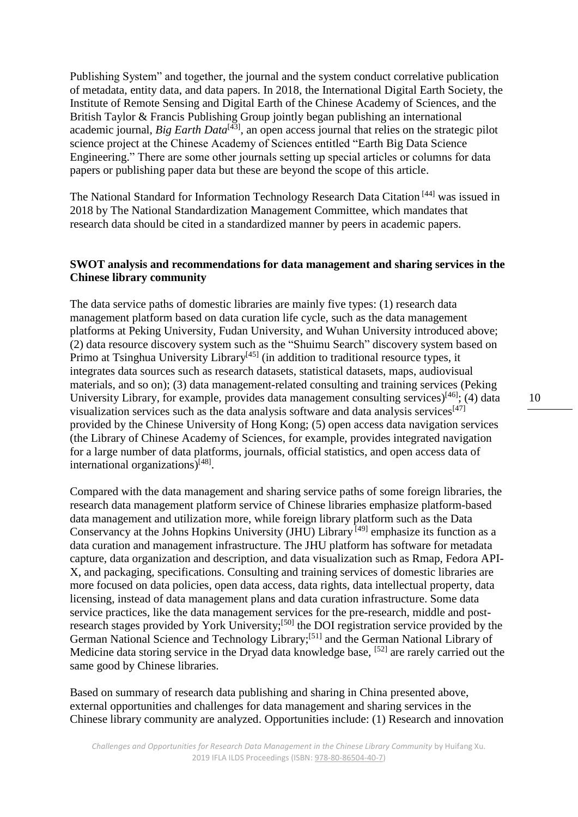Publishing System" and together, the journal and the system conduct correlative publication of metadata, entity data, and data papers. In 2018, the International Digital Earth Society, the Institute of Remote Sensing and Digital Earth of the Chinese Academy of Sciences, and the British Taylor & Francis Publishing Group jointly began publishing an international academic journal, *Big Earth Data*<sup>[43]</sup>, an open access journal that relies on the strategic pilot science project at the Chinese Academy of Sciences entitled "Earth Big Data Science Engineering." There are some other journals setting up special articles or columns for data papers or publishing paper data but these are beyond the scope of this article.

The National Standard for Information Technology Research Data Citation [44] was issued in 2018 by The National Standardization Management Committee, which mandates that research data should be cited in a standardized manner by peers in academic papers.

#### **SWOT analysis and recommendations for data management and sharing services in the Chinese library community**

The data service paths of domestic libraries are mainly five types: (1) research data management platform based on data curation life cycle, such as the data management platforms at Peking University, Fudan University, and Wuhan University introduced above; (2) data resource discovery system such as the "Shuimu Search" discovery system based on Primo at Tsinghua University Library<sup>[45]</sup> (in addition to traditional resource types, it integrates data sources such as research datasets, statistical datasets, maps, audiovisual materials, and so on); (3) data management-related consulting and training services (Peking University Library, for example, provides data management consulting services) $[46]$ ; (4) data visualization services such as the data analysis software and data analysis services $[47]$ provided by the Chinese University of Hong Kong; (5) open access data navigation services (the Library of Chinese Academy of Sciences, for example, provides integrated navigation for a large number of data platforms, journals, official statistics, and open access data of international organizations)<sup>[48]</sup>.

Compared with the data management and sharing service paths of some foreign libraries, the research data management platform service of Chinese libraries emphasize platform-based data management and utilization more, while foreign library platform such as the Data Conservancy at the Johns Hopkins University (JHU) Library <sup>[49]</sup> emphasize its function as a data curation and management infrastructure. The JHU platform has software for metadata capture, data organization and description, and data visualization such as Rmap, Fedora API-X, and packaging, specifications. Consulting and training services of domestic libraries are more focused on data policies, open data access, data rights, data intellectual property, data licensing, instead of data management plans and data curation infrastructure. Some data service practices, like the data management services for the pre-research, middle and postresearch stages provided by York University;<sup>[50]</sup> the DOI registration service provided by the German National Science and Technology Library;<sup>[51]</sup> and the German National Library of Medicine data storing service in the Dryad data knowledge base, <sup>[52]</sup> are rarely carried out the same good by Chinese libraries.

Based on summary of research data publishing and sharing in China presented above, external opportunities and challenges for data management and sharing services in the Chinese library community are analyzed. Opportunities include: (1) Research and innovation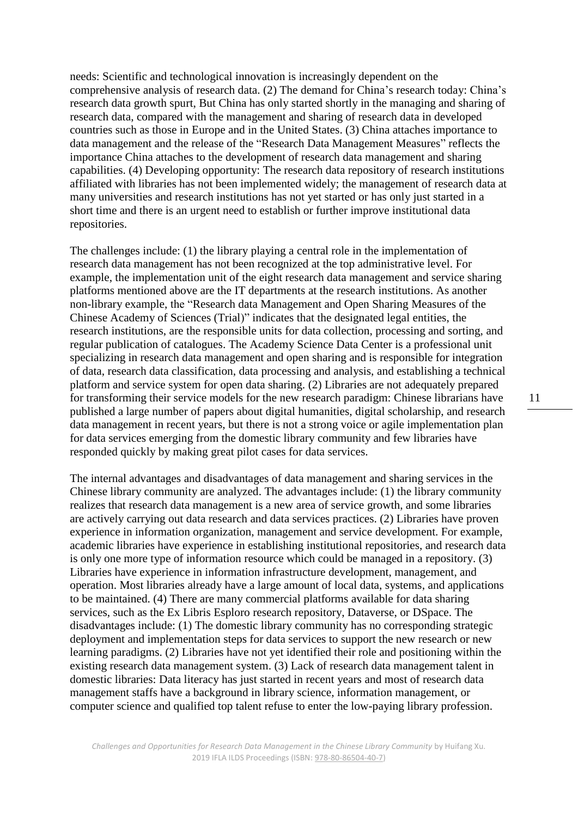needs: Scientific and technological innovation is increasingly dependent on the comprehensive analysis of research data. (2) The demand for China's research today: China's research data growth spurt, But China has only started shortly in the managing and sharing of research data, compared with the management and sharing of research data in developed countries such as those in Europe and in the United States. (3) China attaches importance to data management and the release of the "Research Data Management Measures" reflects the importance China attaches to the development of research data management and sharing capabilities. (4) Developing opportunity: The research data repository of research institutions affiliated with libraries has not been implemented widely; the management of research data at many universities and research institutions has not yet started or has only just started in a short time and there is an urgent need to establish or further improve institutional data repositories.

The challenges include: (1) the library playing a central role in the implementation of research data management has not been recognized at the top administrative level. For example, the implementation unit of the eight research data management and service sharing platforms mentioned above are the IT departments at the research institutions. As another non-library example, the "Research data Management and Open Sharing Measures of the Chinese Academy of Sciences (Trial)" indicates that the designated legal entities, the research institutions, are the responsible units for data collection, processing and sorting, and regular publication of catalogues. The Academy Science Data Center is a professional unit specializing in research data management and open sharing and is responsible for integration of data, research data classification, data processing and analysis, and establishing a technical platform and service system for open data sharing. (2) Libraries are not adequately prepared for transforming their service models for the new research paradigm: Chinese librarians have published a large number of papers about digital humanities, digital scholarship, and research data management in recent years, but there is not a strong voice or agile implementation plan for data services emerging from the domestic library community and few libraries have responded quickly by making great pilot cases for data services.

The internal advantages and disadvantages of data management and sharing services in the Chinese library community are analyzed. The advantages include: (1) the library community realizes that research data management is a new area of service growth, and some libraries are actively carrying out data research and data services practices. (2) Libraries have proven experience in information organization, management and service development. For example, academic libraries have experience in establishing institutional repositories, and research data is only one more type of information resource which could be managed in a repository. (3) Libraries have experience in information infrastructure development, management, and operation. Most libraries already have a large amount of local data, systems, and applications to be maintained. (4) There are many commercial platforms available for data sharing services, such as the Ex Libris Esploro research repository, Dataverse, or DSpace. The disadvantages include: (1) The domestic library community has no corresponding strategic deployment and implementation steps for data services to support the new research or new learning paradigms. (2) Libraries have not yet identified their role and positioning within the existing research data management system. (3) Lack of research data management talent in domestic libraries: Data literacy has just started in recent years and most of research data management staffs have a background in library science, information management, or computer science and qualified top talent refuse to enter the low-paying library profession.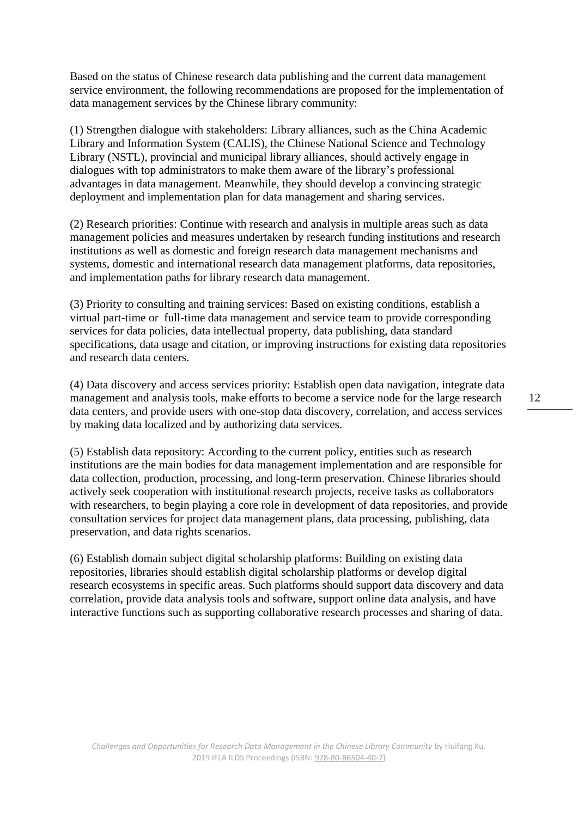Based on the status of Chinese research data publishing and the current data management service environment, the following recommendations are proposed for the implementation of data management services by the Chinese library community:

(1) Strengthen dialogue with stakeholders: Library alliances, such as the China Academic Library and Information System (CALIS), the Chinese National Science and Technology Library (NSTL), provincial and municipal library alliances, should actively engage in dialogues with top administrators to make them aware of the library's professional advantages in data management. Meanwhile, they should develop a convincing strategic deployment and implementation plan for data management and sharing services.

(2) Research priorities: Continue with research and analysis in multiple areas such as data management policies and measures undertaken by research funding institutions and research institutions as well as domestic and foreign research data management mechanisms and systems, domestic and international research data management platforms, data repositories, and implementation paths for library research data management.

(3) Priority to consulting and training services: Based on existing conditions, establish a virtual part-time or full-time data management and service team to provide corresponding services for data policies, data intellectual property, data publishing, data standard specifications, data usage and citation, or improving instructions for existing data repositories and research data centers.

(4) Data discovery and access services priority: Establish open data navigation, integrate data management and analysis tools, make efforts to become a service node for the large research data centers, and provide users with one-stop data discovery, correlation, and access services by making data localized and by authorizing data services.

(5) Establish data repository: According to the current policy, entities such as research institutions are the main bodies for data management implementation and are responsible for data collection, production, processing, and long-term preservation. Chinese libraries should actively seek cooperation with institutional research projects, receive tasks as collaborators with researchers, to begin playing a core role in development of data repositories, and provide consultation services for project data management plans, data processing, publishing, data preservation, and data rights scenarios.

(6) Establish domain subject digital scholarship platforms: Building on existing data repositories, libraries should establish digital scholarship platforms or develop digital research ecosystems in specific areas. Such platforms should support data discovery and data correlation, provide data analysis tools and software, support online data analysis, and have interactive functions such as supporting collaborative research processes and sharing of data.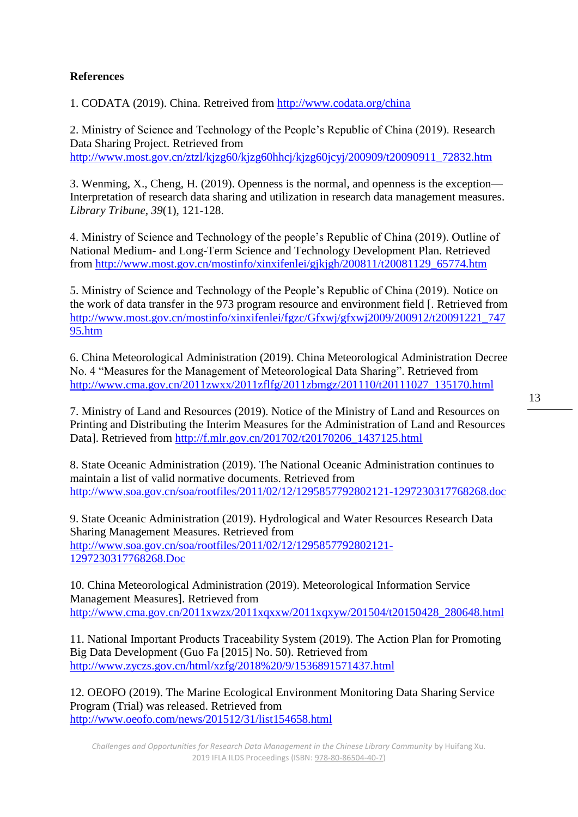## **References**

1. CODATA (2019). China. Retreived from <http://www.codata.org/china>

2. Ministry of Science and Technology of the People's Republic of China (2019). Research Data Sharing Project. Retrieved from [http://www.most.gov.cn/ztzl/kjzg60/kjzg60hhcj/kjzg60jcyj/200909/t20090911\\_72832.htm](http://www.most.gov.cn/ztzl/kjzg60/kjzg60hhcj/kjzg60jcyj/200909/t20090911_72832.htm)

3. Wenming, X., Cheng, H. (2019). Openness is the normal, and openness is the exception— Interpretation of research data sharing and utilization in research data management measures. *Library Tribune, 39*(1), 121-128.

4. Ministry of Science and Technology of the people's Republic of China (2019). Outline of National Medium- and Long-Term Science and Technology Development Plan. Retrieved from [http://www.most.gov.cn/mostinfo/xinxifenlei/gjkjgh/200811/t20081129\\_65774.htm](http://www.most.gov.cn/mostinfo/xinxifenlei/gjkjgh/200811/t20081129_65774.htm)

5. Ministry of Science and Technology of the People's Republic of China (2019). Notice on the work of data transfer in the 973 program resource and environment field [. Retrieved from [http://www.most.gov.cn/mostinfo/xinxifenlei/fgzc/Gfxwj/gfxwj2009/200912/t20091221\\_747](http://www.most.gov.cn/mostinfo/xinxifenlei/fgzc/Gfxwj/gfxwj2009/200912/t20091221_74795.htm) [95.htm](http://www.most.gov.cn/mostinfo/xinxifenlei/fgzc/Gfxwj/gfxwj2009/200912/t20091221_74795.htm)

6. China Meteorological Administration (2019). China Meteorological Administration Decree No. 4 "Measures for the Management of Meteorological Data Sharing". Retrieved from [http://www.cma.gov.cn/2011zwxx/2011zflfg/2011zbmgz/201110/t20111027\\_135170.html](http://www.cma.gov.cn/2011zwxx/2011zflfg/2011zbmgz/201110/t20111027_135170.html)

7. Ministry of Land and Resources (2019). Notice of the Ministry of Land and Resources on Printing and Distributing the Interim Measures for the Administration of Land and Resources Data]. Retrieved from [http://f.mlr.gov.cn/201702/t20170206\\_1437125.html](http://f.mlr.gov.cn/201702/t20170206_1437125.html)

8. State Oceanic Administration (2019). The National Oceanic Administration continues to maintain a list of valid normative documents. Retrieved from <http://www.soa.gov.cn/soa/rootfiles/2011/02/12/1295857792802121-1297230317768268.doc>

9. State Oceanic Administration (2019). Hydrological and Water Resources Research Data Sharing Management Measures. Retrieved from [http://www.soa.gov.cn/soa/rootfiles/2011/02/12/1295857792802121-](http://www.soa.gov.cn/soa/rootfiles/2011/02/12/1295857792802121-1297230317768268.Doc) [1297230317768268.Doc](http://www.soa.gov.cn/soa/rootfiles/2011/02/12/1295857792802121-1297230317768268.Doc)

10. China Meteorological Administration (2019). Meteorological Information Service Management Measures]. Retrieved from [http://www.cma.gov.cn/2011xwzx/2011xqxxw/2011xqxyw/201504/t20150428\\_280648.html](http://www.cma.gov.cn/2011xwzx/2011xqxxw/2011xqxyw/201504/t20150428_280648.html)

11. National Important Products Traceability System (2019). The Action Plan for Promoting Big Data Development (Guo Fa [2015] No. 50). Retrieved from <http://www.zyczs.gov.cn/html/xzfg/2018%20/9/1536891571437.html>

12. OEOFO (2019). The Marine Ecological Environment Monitoring Data Sharing Service Program (Trial) was released. Retrieved from <http://www.oeofo.com/news/201512/31/list154658.html>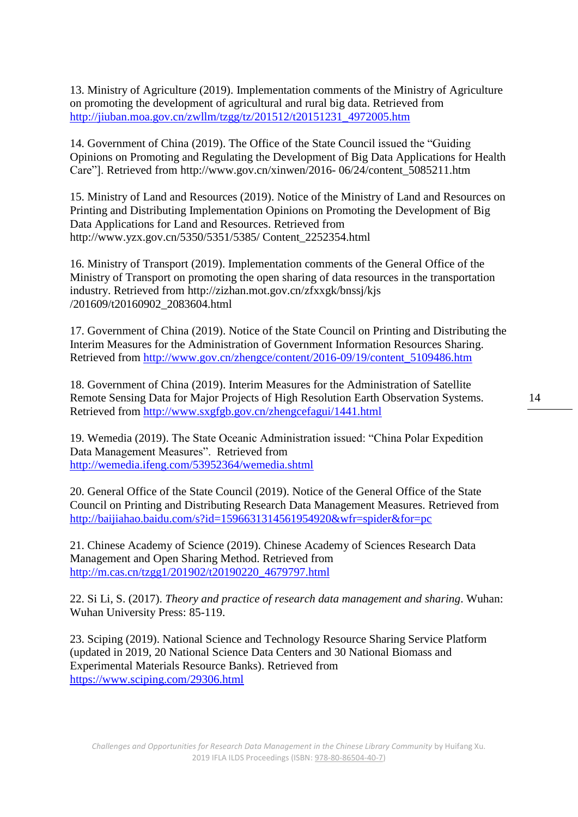13. Ministry of Agriculture (2019). Implementation comments of the Ministry of Agriculture on promoting the development of agricultural and rural big data. Retrieved from [http://jiuban.moa.gov.cn/zwllm/tzgg/tz/201512/t20151231\\_4972005.htm](http://jiuban.moa.gov.cn/zwllm/tzgg/tz/201512/t20151231_4972005.htm)

14. Government of China (2019). The Office of the State Council issued the "Guiding Opinions on Promoting and Regulating the Development of Big Data Applications for Health Care"]. Retrieved from http://www.gov.cn/xinwen/2016- 06/24/content\_5085211.htm

15. Ministry of Land and Resources (2019). Notice of the Ministry of Land and Resources on Printing and Distributing Implementation Opinions on Promoting the Development of Big Data Applications for Land and Resources. Retrieved from http://www.yzx.gov.cn/5350/5351/5385/ Content\_2252354.html

16. Ministry of Transport (2019). Implementation comments of the General Office of the Ministry of Transport on promoting the open sharing of data resources in the transportation industry. Retrieved from http://zizhan.mot.gov.cn/zfxxgk/bnssj/kjs /201609/t20160902\_2083604.html

17. Government of China (2019). Notice of the State Council on Printing and Distributing the Interim Measures for the Administration of Government Information Resources Sharing. Retrieved from [http://www.gov.cn/zhengce/content/2016-09/19/content\\_5109486.htm](http://www.gov.cn/zhengce/content/2016-09/19/content_5109486.htm)

18. Government of China (2019). Interim Measures for the Administration of Satellite Remote Sensing Data for Major Projects of High Resolution Earth Observation Systems. Retrieved from<http://www.sxgfgb.gov.cn/zhengcefagui/1441.html>

19. Wemedia (2019). The State Oceanic Administration issued: "China Polar Expedition Data Management Measures". Retrieved from <http://wemedia.ifeng.com/53952364/wemedia.shtml>

20. General Office of the State Council (2019). Notice of the General Office of the State Council on Printing and Distributing Research Data Management Measures. Retrieved from <http://baijiahao.baidu.com/s?id=1596631314561954920&wfr=spider&for=pc>

21. Chinese Academy of Science (2019). Chinese Academy of Sciences Research Data Management and Open Sharing Method. Retrieved from [http://m.cas.cn/tzgg1/201902/t20190220\\_4679797.html](http://m.cas.cn/tzgg1/201902/t20190220_4679797.html)

22. Si Li, S. (2017). *Theory and practice of research data management and sharing*. Wuhan: Wuhan University Press: 85-119.

23. Sciping (2019). National Science and Technology Resource Sharing Service Platform (updated in 2019, 20 National Science Data Centers and 30 National Biomass and Experimental Materials Resource Banks). Retrieved from <https://www.sciping.com/29306.html>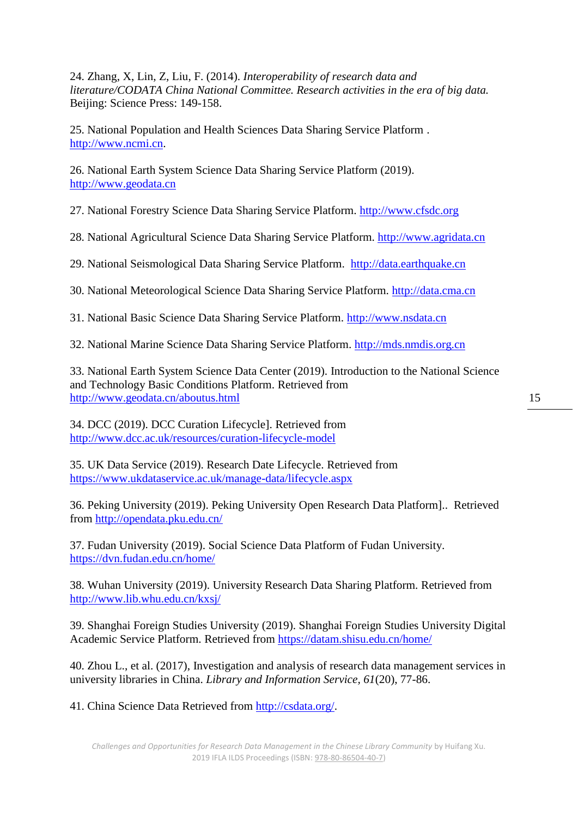24. Zhang, X, Lin, Z, Liu, F. (2014). *Interoperability of research data and literature/CODATA China National Committee. Research activities in the era of big data.* Beijing: Science Press: 149-158.

25. National Population and Health Sciences Data Sharing Service Platform . [http://www.ncmi.cn.](http://www.ncmi.cn/)

26. National Earth System Science Data Sharing Service Platform (2019). [http://www.geodata.cn](http://www.geodata.cn/)

27. National Forestry Science Data Sharing Service Platform. [http://www.cfsdc.org](http://www.cfsdc.org/)

28. National Agricultural Science Data Sharing Service Platform. [http://www.agridata.cn](http://www.agridata.cn/)

29. National Seismological Data Sharing Service Platform. [http://data.earthquake.cn](http://data.earthquake.cn/)

30. National Meteorological Science Data Sharing Service Platform. [http://data.cma.cn](http://data.cma.cn/)

31. National Basic Science Data Sharing Service Platform. [http://www.nsdata.cn](http://www.nsdata.cn/)

32. National Marine Science Data Sharing Service Platform. [http://mds.nmdis.org.cn](http://mds.nmdis.org.cn/)

33. National Earth System Science Data Center (2019). Introduction to the National Science and Technology Basic Conditions Platform. Retrieved from <http://www.geodata.cn/aboutus.html>

34. DCC (2019). DCC Curation Lifecycle]. Retrieved from <http://www.dcc.ac.uk/resources/curation-lifecycle-model>

35. UK Data Service (2019). Research Date Lifecycle. Retrieved from <https://www.ukdataservice.ac.uk/manage-data/lifecycle.aspx>

36. Peking University (2019). Peking University Open Research Data Platform].. Retrieved from<http://opendata.pku.edu.cn/>

37. Fudan University (2019). Social Science Data Platform of Fudan University. <https://dvn.fudan.edu.cn/home/>

38. Wuhan University (2019). University Research Data Sharing Platform. Retrieved from <http://www.lib.whu.edu.cn/kxsj/>

39. Shanghai Foreign Studies University (2019). Shanghai Foreign Studies University Digital Academic Service Platform. Retrieved from <https://datam.shisu.edu.cn/home/>

40. Zhou L., et al. (2017), Investigation and analysis of research data management services in university libraries in China. *Library and Information Service, 61*(20), 77-86.

41. China Science Data Retrieved from [http://csdata.org/.](http://csdata.org/)